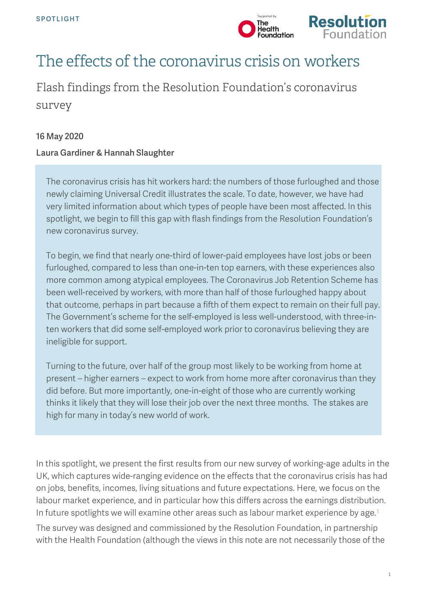



# The effects of the coronavirus crisis on workers

Flash findings from the Resolution Foundation's coronavirus survey

## 16 May 2020

## Laura Gardiner & Hannah Slaughter

The coronavirus crisis has hit workers hard: the numbers of those furloughed and those newly claiming Universal Credit illustrates the scale. To date, however, we have had very limited information about which types of people have been most affected. In this spotlight, we begin to fill this gap with flash findings from the Resolution Foundation's new coronavirus survey.

To begin, we find that nearly one-third of lower-paid employees have lost jobs or been furloughed, compared to less than one-in-ten top earners, with these experiences also more common among atypical employees. The Coronavirus Job Retention Scheme has been well-received by workers, with more than half of those furloughed happy about that outcome, perhaps in part because a fifth of them expect to remain on their full pay. The Government's scheme for the self-employed is less well-understood, with three-inten workers that did some self-employed work prior to coronavirus believing they are ineligible for support.

Turning to the future, over half of the group most likely to be working from home at present – higher earners – expect to work from home more after coronavirus than they did before. But more importantly, one-in-eight of those who are currently working thinks it likely that they will lose their job over the next three months. The stakes are high for many in today's new world of work.

In this spotlight, we present the first results from our new survey of working-age adults in the UK, which captures wide-ranging evidence on the effects that the coronavirus crisis has had on jobs, benefits, incomes, living situations and future expectations. Here, we focus on the labour market experience, and in particular how this differs across the earnings distribution. In future spotlights we will examine other areas such as labour market experience by age. [1](#page-7-0)

The survey was designed and commissioned by the Resolution Foundation, in partnership with the Health Foundation (although the views in this note are not necessarily those of the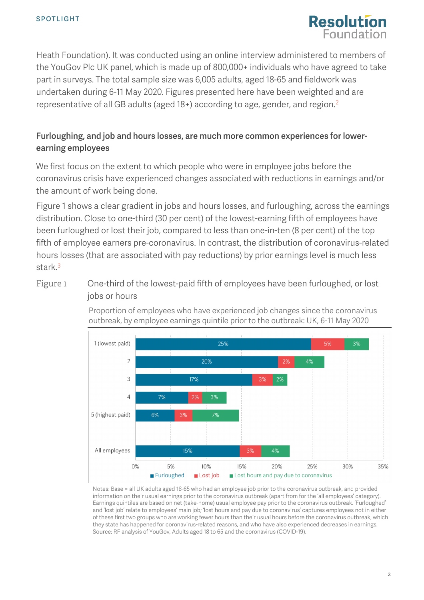

Heath Foundation). It was conducted using an online interview administered to members of the YouGov Plc UK panel, which is made up of 800,000+ individuals who have agreed to take part in surveys. The total sample size was 6,005 adults, aged 18-65 and fieldwork was undertaken during 6-11 May 2020. Figures presented here have been weighted and are representative of all GB adults (aged 18+) according to age, gender, and region. [2](#page-7-1)

# Furloughing, and job and hours losses, are much more common experiences for lowerearning employees

We first focus on the extent to which people who were in employee jobs before the coronavirus crisis have experienced changes associated with reductions in earnings and/or the amount of work being done.

[Figure 1](#page-1-0) shows a clear gradient in jobs and hours losses, and furloughing, across the earnings distribution. Close to one-third (30 per cent) of the lowest-earning fifth of employees have been furloughed or lost their job, compared to less than one-in-ten (8 per cent) of the top fifth of employee earners pre-coronavirus. In contrast, the distribution of coronavirus-related hours losses (that are associated with pay reductions) by prior earnings level is much less stark.<sup>[3](#page-7-2)</sup>

<span id="page-1-0"></span>Figure 1 One-third of the lowest-paid fifth of employees have been furloughed, or lost jobs or hours



Proportion of employees who have experienced job changes since the coronavirus outbreak, by employee earnings quintile prior to the outbreak: UK, 6-11 May 2020

Notes: Base = all UK adults aged 18-65 who had an employee job prior to the coronavirus outbreak, and provided information on their usual earnings prior to the coronavirus outbreak (apart from for the 'all employees' category). Earnings quintiles are based on net (take-home) usual employee pay prior to the coronavirus outbreak. 'Furloughed' and 'lost job' relate to employees' main job; 'lost hours and pay due to coronavirus' captures employees not in either of these first two groups who are working fewer hours than their usual hours before the coronavirus outbreak, which they state has happened for coronavirus-related reasons, and who have also experienced decreases in earnings. Source: RF analysis of YouGov, Adults aged 18 to 65 and the coronavirus (COVID-19).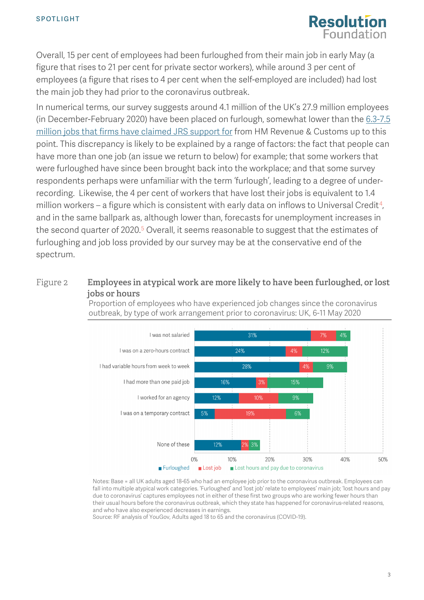

Overall, 15 per cent of employees had been furloughed from their main job in early May (a figure that rises to 21 per cent for private sector workers), while around 3 per cent of employees (a figure that rises to 4 per cent when the self-employed are included) had lost the main job they had prior to the coronavirus outbreak.

In numerical terms, our survey suggests around 4.1 million of the UK's 27.9 million employees (in December-February 2020) have been placed on furlough, somewhat lower than the  $6.3$ -7.5 [million jobs that firms have](https://twitter.com/dan_tomlinson_/status/1260180902946144256) claimed JRS support for from HM Revenue & Customs up to this point. This discrepancy is likely to be explained by a range of factors: the fact that people can have more than one job (an issue we return to below) for example; that some workers that were furloughed have since been brought back into the workplace; and that some survey respondents perhaps were unfamiliar with the term 'furlough', leading to a degree of underrecording. Likewise, the 4 per cent of workers that have lost their jobs is equivalent to 1.4 million workers – a figure which is consistent with early data on inflows to Universal Credit<sup>4</sup>, and in the same ballpark as, although lower than, forecasts for unemployment increases in the second quarter of 2020.<sup>[5](#page-7-4)</sup> Overall, it seems reasonable to suggest that the estimates of furloughing and job loss provided by our survey may be at the conservative end of the spectrum.

## <span id="page-2-0"></span>Figure 2 **Employees in atypical work are more likely to have been furloughed, or lost jobs or hours**



Proportion of employees who have experienced job changes since the coronavirus outbreak, by type of work arrangement prior to coronavirus: UK, 6-11 May 2020

Notes: Base = all UK adults aged 18-65 who had an employee job prior to the coronavirus outbreak. Employees can fall into multiple atypical work categories. 'Furloughed' and 'lost job' relate to employees' main job; 'lost hours and pay due to coronavirus' captures employees not in either of these first two groups who are working fewer hours than their usual hours before the coronavirus outbreak, which they state has happened for coronavirus-related reasons, and who have also experienced decreases in earnings.

Source: RF analysis of YouGov, Adults aged 18 to 65 and the coronavirus (COVID-19).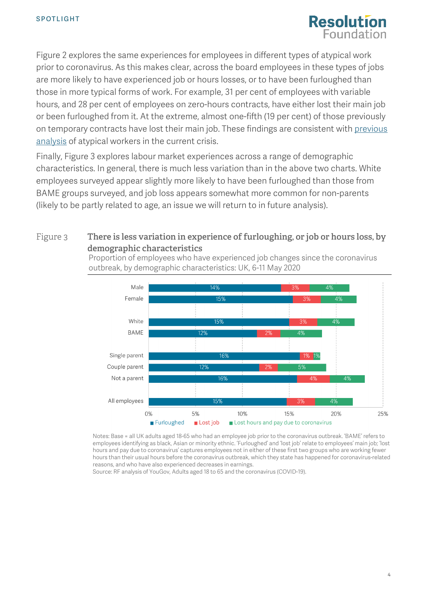

[Figure 2](#page-2-0) explores the same experiences for employees in different types of atypical work prior to coronavirus. As this makes clear, across the board employees in these types of jobs are more likely to have experienced job or hours losses, or to have been furloughed than those in more typical forms of work. For example, 31 per cent of employees with variable hours, and 28 per cent of employees on zero-hours contracts, have either lost their main job or been furloughed from it. At the extreme, almost one-fifth (19 per cent) of those previously on temporary contracts have lost their main job. These findings are consistent with previous [analysis](https://drive.google.com/file/d/1JYI4bzQ5ytmml_Vct8o-Zw7BqRsHKzsq/view) of atypical workers in the current crisis.

Finally, [Figure 3](#page-3-0) explores labour market experiences across a range of demographic characteristics. In general, there is much less variation than in the above two charts. White employees surveyed appear slightly more likely to have been furloughed than those from BAME groups surveyed, and job loss appears somewhat more common for non-parents (likely to be partly related to age, an issue we will return to in future analysis).

## <span id="page-3-0"></span>Figure 3 **There is less variation in experience of furloughing, or job or hours loss, by demographic characteristics**



Proportion of employees who have experienced job changes since the coronavirus outbreak, by demographic characteristics: UK, 6-11 May 2020

Notes: Base = all UK adults aged 18-65 who had an employee job prior to the coronavirus outbreak. 'BAME' refers to employees identifying as black, Asian or minority ethnic. 'Furloughed' and 'lost job' relate to employees' main job; 'lost hours and pay due to coronavirus' captures employees not in either of these first two groups who are working fewer hours than their usual hours before the coronavirus outbreak, which they state has happened for coronavirus-related reasons, and who have also experienced decreases in earnings.

Source: RF analysis of YouGov, Adults aged 18 to 65 and the coronavirus (COVID-19).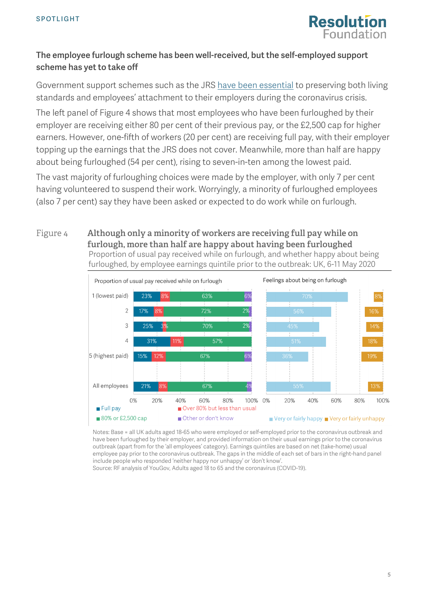

# The employee furlough scheme has been well-received, but the self-employed support scheme has yet to take off

Government support schemes such as the JRS [have been essential](https://www.resolutionfoundation.org/publications/doing-what-it-takes/) to preserving both living standards and employees' attachment to their employers during the coronavirus crisis.

The left panel of [Figure 4](#page-4-0) shows that most employees who have been furloughed by their employer are receiving either 80 per cent of their previous pay, or the £2,500 cap for higher earners. However, one-fifth of workers (20 per cent) are receiving full pay, with their employer topping up the earnings that the JRS does not cover. Meanwhile, more than half are happy about being furloughed (54 per cent), rising to seven-in-ten among the lowest paid.

The vast majority of furloughing choices were made by the employer, with only 7 per cent having volunteered to suspend their work. Worryingly, a minority of furloughed employees (also 7 per cent) say they have been asked or expected to do work while on furlough.

#### <span id="page-4-0"></span>Figure 4 **Although only a minority of workers are receiving full pay while on furlough, more than half are happy about having been furloughed** Proportion of usual pay received while on furlough, and whether happy about being furloughed, by employee earnings quintile prior to the outbreak: UK, 6-11 May 2020



Notes: Base = all UK adults aged 18-65 who were employed or self-employed prior to the coronavirus outbreak and have been furloughed by their employer, and provided information on their usual earnings prior to the coronavirus outbreak (apart from for the 'all employees' category). Earnings quintiles are based on net (take-home) usual employee pay prior to the coronavirus outbreak. The gaps in the middle of each set of bars in the right-hand panel include people who responded 'neither happy nor unhappy' or 'don't know'.

Source: RF analysis of YouGov, Adults aged 18 to 65 and the coronavirus (COVID-19).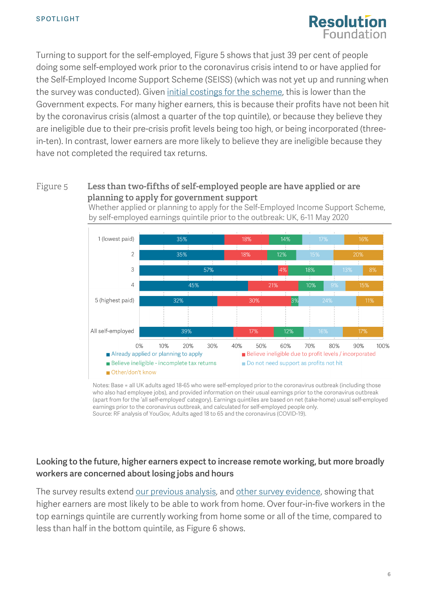

Turning to support for the self-employed, [Figure 5](#page-5-0) shows that just 39 per cent of people doing some self-employed work prior to the coronavirus crisis intend to or have applied for the Self-Employed Income Support Scheme (SEISS) (which was not yet up and running when the survey was conducted). Given [initial costings for the scheme,](https://www.resolutionfoundation.org/comment/unprecedented-support-for-employees-wages-last-week-has-been-followed-up-by-equally-significant-and-even-more-generous-support-for-the-self-employed-but-gaps-remain/) this is lower than the Government expects. For many higher earners, this is because their profits have not been hit by the coronavirus crisis (almost a quarter of the top quintile), or because they believe they are ineligible due to their pre-crisis profit levels being too high, or being incorporated (threein-ten). In contrast, lower earners are more likely to believe they are ineligible because they have not completed the required tax returns.

#### <span id="page-5-0"></span>Figure 5 **Less than two-fifths of self-employed people are have applied or are planning to apply for government support**

Whether applied or planning to apply for the Self-Employed Income Support Scheme, by self-employed earnings quintile prior to the outbreak: UK, 6-11 May 2020



Notes: Base = all UK adults aged 18-65 who were self-employed prior to the coronavirus outbreak (including those who also had employee jobs), and provided information on their usual earnings prior to the coronavirus outbreak (apart from for the 'all self-employed' category). Earnings quintiles are based on net (take-home) usual self-employed earnings prior to the coronavirus outbreak, and calculated for self-employed people only. Source: RF analysis of YouGov, Adults aged 18 to 65 and the coronavirus (COVID-19).

# Looking to the future, higher earners expect to increase remote working, but more broadly workers are concerned about losing jobs and hours

The survey results extend [our previous analysis,](https://www.resolutionfoundation.org/publications/doing-what-it-takes/) and [other survey evidence,](https://drive.google.com/file/d/1ssoMlefI6N9CBEPPsWKqy6F3M9_Wcbzu/view) showing that higher earners are most likely to be able to work from home. Over four-in-five workers in the top earnings quintile are currently working from home some or all of the time, compared to less than half in the bottom quintile, as [Figure 6](#page-6-0) shows.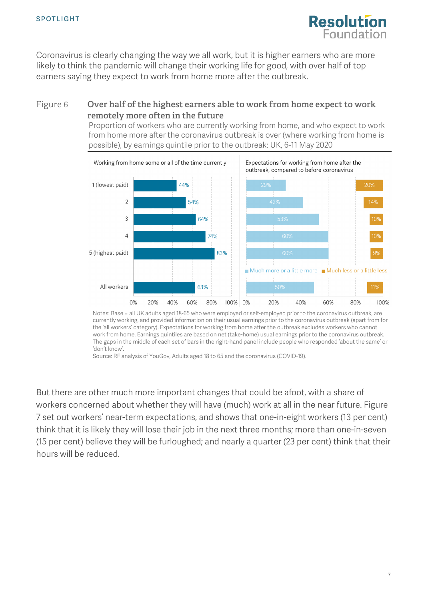<span id="page-6-0"></span>

Coronavirus is clearly changing the way we all work, but it is higher earners who are more likely to think the pandemic will change their working life for good, with over half of top earners saying they expect to work from home more after the outbreak.

### Figure 6 **Over half of the highest earners able to work from home expect to work remotely more often in the future**

Proportion of workers who are currently working from home, and who expect to work from home more after the coronavirus outbreak is over (where working from home is possible), by earnings quintile prior to the outbreak: UK, 6-11 May 2020



Notes: Base = all UK adults aged 18-65 who were employed or self-employed prior to the coronavirus outbreak, are currently working, and provided information on their usual earnings prior to the coronavirus outbreak (apart from for the 'all workers' category). Expectations for working from home after the outbreak excludes workers who cannot work from home. Earnings quintiles are based on net (take-home) usual earnings prior to the coronavirus outbreak. The gaps in the middle of each set of bars in the right-hand panel include people who responded 'about the same' or 'don't know'.

Source: RF analysis of YouGov, Adults aged 18 to 65 and the coronavirus (COVID-19).

But there are other much more important changes that could be afoot, with a share of workers concerned about whether they will have (much) work at all in the near future. [Figure](#page-7-5)  [7](#page-7-5) set out workers' near-term expectations, and shows that one-in-eight workers (13 per cent) think that it is likely they will lose their job in the next three months; more than one-in-seven (15 per cent) believe they will be furloughed; and nearly a quarter (23 per cent) think that their hours will be reduced.